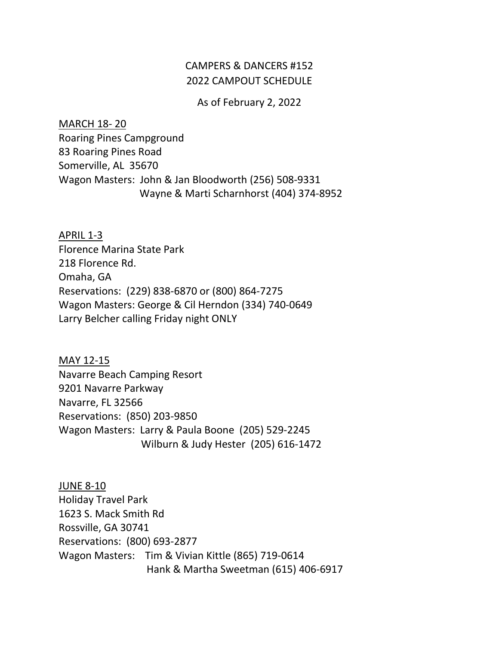## CAMPERS & DANCERS #152 2022 CAMPOUT SCHEDULE

As of February 2, 2022

MARCH 18- 20 Roaring Pines Campground 83 Roaring Pines Road Somerville, AL 35670 Wagon Masters: John & Jan Bloodworth (256) 508-9331 Wayne & Marti Scharnhorst (404) 374-8952

APRIL 1-3 Florence Marina State Park 218 Florence Rd. Omaha, GA Reservations: (229) 838-6870 or (800) 864-7275 Wagon Masters: George & Cil Herndon (334) 740-0649 Larry Belcher calling Friday night ONLY

MAY 12-15 Navarre Beach Camping Resort 9201 Navarre Parkway Navarre, FL 32566 Reservations: (850) 203-9850 Wagon Masters: Larry & Paula Boone (205) 529-2245 Wilburn & Judy Hester (205) 616-1472

JUNE 8-10 Holiday Travel Park 1623 S. Mack Smith Rd Rossville, GA 30741 Reservations: (800) 693-2877 Wagon Masters: Tim & Vivian Kittle (865) 719-0614 Hank & Martha Sweetman (615) 406-6917